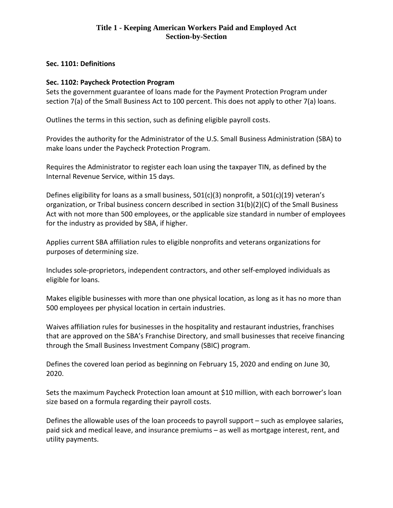### **Sec. 1101: Definitions**

### **Sec. 1102: Paycheck Protection Program**

Sets the government guarantee of loans made for the Payment Protection Program under section 7(a) of the Small Business Act to 100 percent. This does not apply to other 7(a) loans.

Outlines the terms in this section, such as defining eligible payroll costs.

Provides the authority for the Administrator of the U.S. Small Business Administration (SBA) to make loans under the Paycheck Protection Program.

Requires the Administrator to register each loan using the taxpayer TIN, as defined by the Internal Revenue Service, within 15 days.

Defines eligibility for loans as a small business,  $501(c)(3)$  nonprofit, a  $501(c)(19)$  veteran's organization, or Tribal business concern described in section 31(b)(2)(C) of the Small Business Act with not more than 500 employees, or the applicable size standard in number of employees for the industry as provided by SBA, if higher.

Applies current SBA affiliation rules to eligible nonprofits and veterans organizations for purposes of determining size.

Includes sole-proprietors, independent contractors, and other self-employed individuals as eligible for loans.

Makes eligible businesses with more than one physical location, as long as it has no more than 500 employees per physical location in certain industries.

Waives affiliation rules for businesses in the hospitality and restaurant industries, franchises that are approved on the SBA's Franchise Directory, and small businesses that receive financing through the Small Business Investment Company (SBIC) program.

Defines the covered loan period as beginning on February 15, 2020 and ending on June 30, 2020.

Sets the maximum Paycheck Protection loan amount at \$10 million, with each borrower's loan size based on a formula regarding their payroll costs.

Defines the allowable uses of the loan proceeds to payroll support – such as employee salaries, paid sick and medical leave, and insurance premiums – as well as mortgage interest, rent, and utility payments.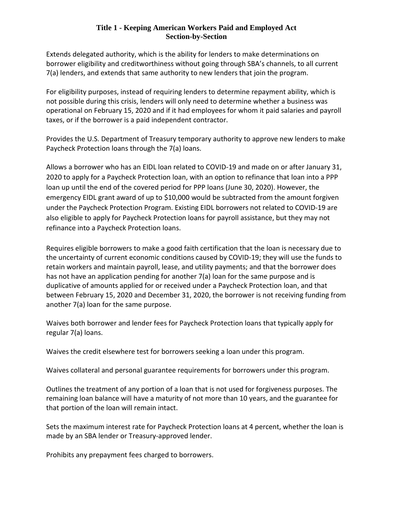Extends delegated authority, which is the ability for lenders to make determinations on borrower eligibility and creditworthiness without going through SBA's channels, to all current 7(a) lenders, and extends that same authority to new lenders that join the program.

For eligibility purposes, instead of requiring lenders to determine repayment ability, which is not possible during this crisis, lenders will only need to determine whether a business was operational on February 15, 2020 and if it had employees for whom it paid salaries and payroll taxes, or if the borrower is a paid independent contractor.

Provides the U.S. Department of Treasury temporary authority to approve new lenders to make Paycheck Protection loans through the 7(a) loans.

Allows a borrower who has an EIDL loan related to COVID-19 and made on or after January 31, 2020 to apply for a Paycheck Protection loan, with an option to refinance that loan into a PPP loan up until the end of the covered period for PPP loans (June 30, 2020). However, the emergency EIDL grant award of up to \$10,000 would be subtracted from the amount forgiven under the Paycheck Protection Program. Existing EIDL borrowers not related to COVID-19 are also eligible to apply for Paycheck Protection loans for payroll assistance, but they may not refinance into a Paycheck Protection loans.

Requires eligible borrowers to make a good faith certification that the loan is necessary due to the uncertainty of current economic conditions caused by COVID-19; they will use the funds to retain workers and maintain payroll, lease, and utility payments; and that the borrower does has not have an application pending for another 7(a) loan for the same purpose and is duplicative of amounts applied for or received under a Paycheck Protection loan, and that between February 15, 2020 and December 31, 2020, the borrower is not receiving funding from another 7(a) loan for the same purpose.

Waives both borrower and lender fees for Paycheck Protection loans that typically apply for regular 7(a) loans.

Waives the credit elsewhere test for borrowers seeking a loan under this program.

Waives collateral and personal guarantee requirements for borrowers under this program.

Outlines the treatment of any portion of a loan that is not used for forgiveness purposes. The remaining loan balance will have a maturity of not more than 10 years, and the guarantee for that portion of the loan will remain intact.

Sets the maximum interest rate for Paycheck Protection loans at 4 percent, whether the loan is made by an SBA lender or Treasury-approved lender.

Prohibits any prepayment fees charged to borrowers.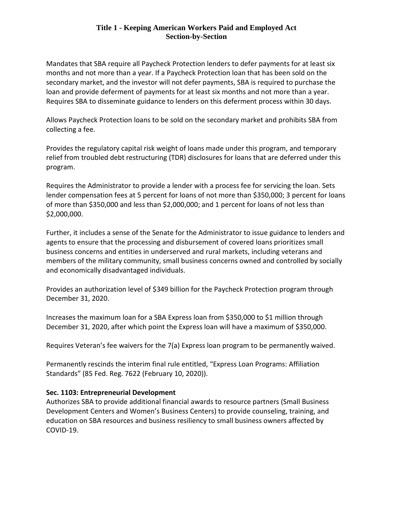Mandates that SBA require all Paycheck Protection lenders to defer payments for at least six months and not more than a year. If a Paycheck Protection loan that has been sold on the secondary market, and the investor will not defer payments, SBA is required to purchase the loan and provide deferment of payments for at least six months and not more than a year. Requires SBA to disseminate guidance to lenders on this deferment process within 30 days.

Allows Paycheck Protection loans to be sold on the secondary market and prohibits SBA from collecting a fee.

Provides the regulatory capital risk weight of loans made under this program, and temporary relief from troubled debt restructuring (TDR) disclosures for loans that are deferred under this program.

Requires the Administrator to provide a lender with a process fee for servicing the loan. Sets lender compensation fees at 5 percent for loans of not more than \$350,000; 3 percent for loans of more than \$350,000 and less than \$2,000,000; and 1 percent for loans of not less than \$2,000,000.

Further, it includes a sense of the Senate for the Administrator to issue guidance to lenders and agents to ensure that the processing and disbursement of covered loans prioritizes small business concerns and entities in underserved and rural markets, including veterans and members of the military community, small business concerns owned and controlled by socially and economically disadvantaged individuals.

Provides an authorization level of \$349 billion for the Paycheck Protection program through December 31, 2020.

Increases the maximum loan for a SBA Express loan from \$350,000 to \$1 million through December 31, 2020, after which point the Express loan will have a maximum of \$350,000.

Requires Veteran's fee waivers for the 7(a) Express loan program to be permanently waived.

Permanently rescinds the interim final rule entitled, "Express Loan Programs: Affiliation Standards" (85 Fed. Reg. 7622 (February 10, 2020)).

## **Sec. 1103: Entrepreneurial Development**

Authorizes SBA to provide additional financial awards to resource partners (Small Business Development Centers and Women's Business Centers) to provide counseling, training, and education on SBA resources and business resiliency to small business owners affected by COVID-19.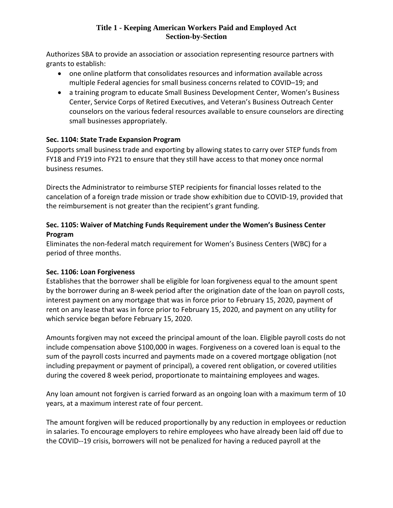Authorizes SBA to provide an association or association representing resource partners with grants to establish:

- one online platform that consolidates resources and information available across multiple Federal agencies for small business concerns related to COVID–19; and
- a training program to educate Small Business Development Center, Women's Business Center, Service Corps of Retired Executives, and Veteran's Business Outreach Center counselors on the various federal resources available to ensure counselors are directing small businesses appropriately.

# **Sec. 1104: State Trade Expansion Program**

Supports small business trade and exporting by allowing states to carry over STEP funds from FY18 and FY19 into FY21 to ensure that they still have access to that money once normal business resumes.

Directs the Administrator to reimburse STEP recipients for financial losses related to the cancelation of a foreign trade mission or trade show exhibition due to COVID-19, provided that the reimbursement is not greater than the recipient's grant funding.

## **Sec. 1105: Waiver of Matching Funds Requirement under the Women's Business Center Program**

Eliminates the non-federal match requirement for Women's Business Centers (WBC) for a period of three months.

## **Sec. 1106: Loan Forgiveness**

Establishes that the borrower shall be eligible for loan forgiveness equal to the amount spent by the borrower during an 8-week period after the origination date of the loan on payroll costs, interest payment on any mortgage that was in force prior to February 15, 2020, payment of rent on any lease that was in force prior to February 15, 2020, and payment on any utility for which service began before February 15, 2020.

Amounts forgiven may not exceed the principal amount of the loan. Eligible payroll costs do not include compensation above \$100,000 in wages. Forgiveness on a covered loan is equal to the sum of the payroll costs incurred and payments made on a covered mortgage obligation (not including prepayment or payment of principal), a covered rent obligation, or covered utilities during the covered 8 week period, proportionate to maintaining employees and wages.

Any loan amount not forgiven is carried forward as an ongoing loan with a maximum term of 10 years, at a maximum interest rate of four percent.

The amount forgiven will be reduced proportionally by any reduction in employees or reduction in salaries. To encourage employers to rehire employees who have already been laid off due to the COVID--19 crisis, borrowers will not be penalized for having a reduced payroll at the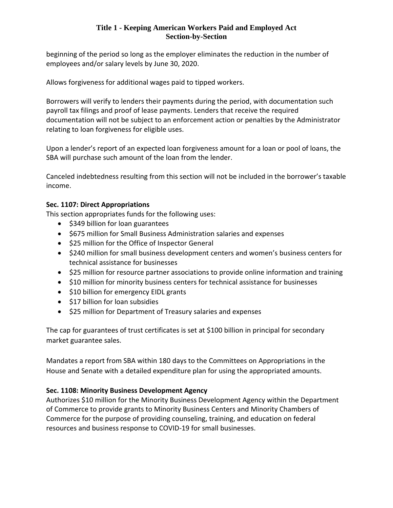beginning of the period so long as the employer eliminates the reduction in the number of employees and/or salary levels by June 30, 2020.

Allows forgiveness for additional wages paid to tipped workers.

Borrowers will verify to lenders their payments during the period, with documentation such payroll tax filings and proof of lease payments. Lenders that receive the required documentation will not be subject to an enforcement action or penalties by the Administrator relating to loan forgiveness for eligible uses.

Upon a lender's report of an expected loan forgiveness amount for a loan or pool of loans, the SBA will purchase such amount of the loan from the lender.

Canceled indebtedness resulting from this section will not be included in the borrower's taxable income.

## **Sec. 1107: Direct Appropriations**

This section appropriates funds for the following uses:

- \$349 billion for loan guarantees
- \$675 million for Small Business Administration salaries and expenses
- \$25 million for the Office of Inspector General
- \$240 million for small business development centers and women's business centers for technical assistance for businesses
- \$25 million for resource partner associations to provide online information and training
- \$10 million for minority business centers for technical assistance for businesses
- \$10 billion for emergency EIDL grants
- \$17 billion for loan subsidies
- \$25 million for Department of Treasury salaries and expenses

The cap for guarantees of trust certificates is set at \$100 billion in principal for secondary market guarantee sales.

Mandates a report from SBA within 180 days to the Committees on Appropriations in the House and Senate with a detailed expenditure plan for using the appropriated amounts.

# **Sec. 1108: Minority Business Development Agency**

Authorizes \$10 million for the Minority Business Development Agency within the Department of Commerce to provide grants to Minority Business Centers and Minority Chambers of Commerce for the purpose of providing counseling, training, and education on federal resources and business response to COVID-19 for small businesses.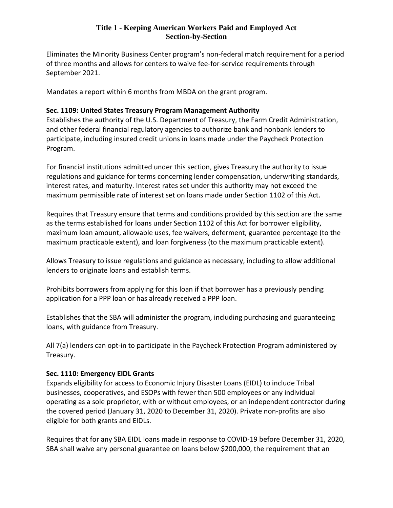Eliminates the Minority Business Center program's non-federal match requirement for a period of three months and allows for centers to waive fee-for-service requirements through September 2021.

Mandates a report within 6 months from MBDA on the grant program.

## **Sec. 1109: United States Treasury Program Management Authority**

Establishes the authority of the U.S. Department of Treasury, the Farm Credit Administration, and other federal financial regulatory agencies to authorize bank and nonbank lenders to participate, including insured credit unions in loans made under the Paycheck Protection Program.

For financial institutions admitted under this section, gives Treasury the authority to issue regulations and guidance for terms concerning lender compensation, underwriting standards, interest rates, and maturity. Interest rates set under this authority may not exceed the maximum permissible rate of interest set on loans made under Section 1102 of this Act.

Requires that Treasury ensure that terms and conditions provided by this section are the same as the terms established for loans under Section 1102 of this Act for borrower eligibility, maximum loan amount, allowable uses, fee waivers, deferment, guarantee percentage (to the maximum practicable extent), and loan forgiveness (to the maximum practicable extent).

Allows Treasury to issue regulations and guidance as necessary, including to allow additional lenders to originate loans and establish terms.

Prohibits borrowers from applying for this loan if that borrower has a previously pending application for a PPP loan or has already received a PPP loan.

Establishes that the SBA will administer the program, including purchasing and guaranteeing loans, with guidance from Treasury.

All 7(a) lenders can opt-in to participate in the Paycheck Protection Program administered by Treasury.

## **Sec. 1110: Emergency EIDL Grants**

Expands eligibility for access to Economic Injury Disaster Loans (EIDL) to include Tribal businesses, cooperatives, and ESOPs with fewer than 500 employees or any individual operating as a sole proprietor, with or without employees, or an independent contractor during the covered period (January 31, 2020 to December 31, 2020). Private non-profits are also eligible for both grants and EIDLs.

Requires that for any SBA EIDL loans made in response to COVID-19 before December 31, 2020, SBA shall waive any personal guarantee on loans below \$200,000, the requirement that an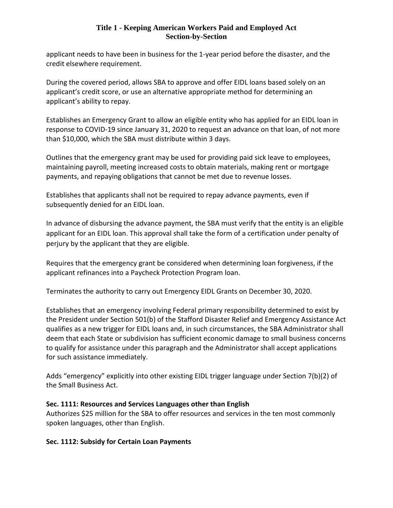applicant needs to have been in business for the 1-year period before the disaster, and the credit elsewhere requirement.

During the covered period, allows SBA to approve and offer EIDL loans based solely on an applicant's credit score, or use an alternative appropriate method for determining an applicant's ability to repay.

Establishes an Emergency Grant to allow an eligible entity who has applied for an EIDL loan in response to COVID-19 since January 31, 2020 to request an advance on that loan, of not more than \$10,000, which the SBA must distribute within 3 days.

Outlines that the emergency grant may be used for providing paid sick leave to employees, maintaining payroll, meeting increased costs to obtain materials, making rent or mortgage payments, and repaying obligations that cannot be met due to revenue losses.

Establishes that applicants shall not be required to repay advance payments, even if subsequently denied for an EIDL loan.

In advance of disbursing the advance payment, the SBA must verify that the entity is an eligible applicant for an EIDL loan. This approval shall take the form of a certification under penalty of perjury by the applicant that they are eligible.

Requires that the emergency grant be considered when determining loan forgiveness, if the applicant refinances into a Paycheck Protection Program loan.

Terminates the authority to carry out Emergency EIDL Grants on December 30, 2020.

Establishes that an emergency involving Federal primary responsibility determined to exist by the President under Section 501(b) of the Stafford Disaster Relief and Emergency Assistance Act qualifies as a new trigger for EIDL loans and, in such circumstances, the SBA Administrator shall deem that each State or subdivision has sufficient economic damage to small business concerns to qualify for assistance under this paragraph and the Administrator shall accept applications for such assistance immediately.

Adds "emergency" explicitly into other existing EIDL trigger language under Section 7(b)(2) of the Small Business Act.

## **Sec. 1111: Resources and Services Languages other than English**

Authorizes \$25 million for the SBA to offer resources and services in the ten most commonly spoken languages, other than English.

## **Sec. 1112: Subsidy for Certain Loan Payments**